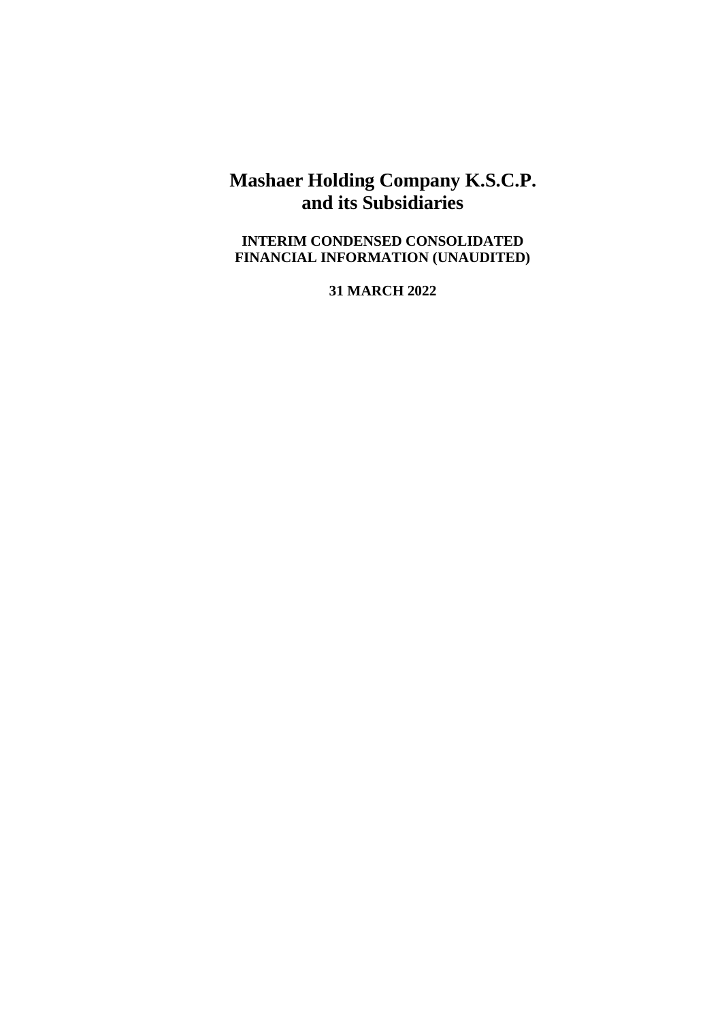# **Mashaer Holding Company K.S.C.P. and its Subsidiaries**

**INTERIM CONDENSED CONSOLIDATED FINANCIAL INFORMATION (UNAUDITED)**

**31 MARCH 2022**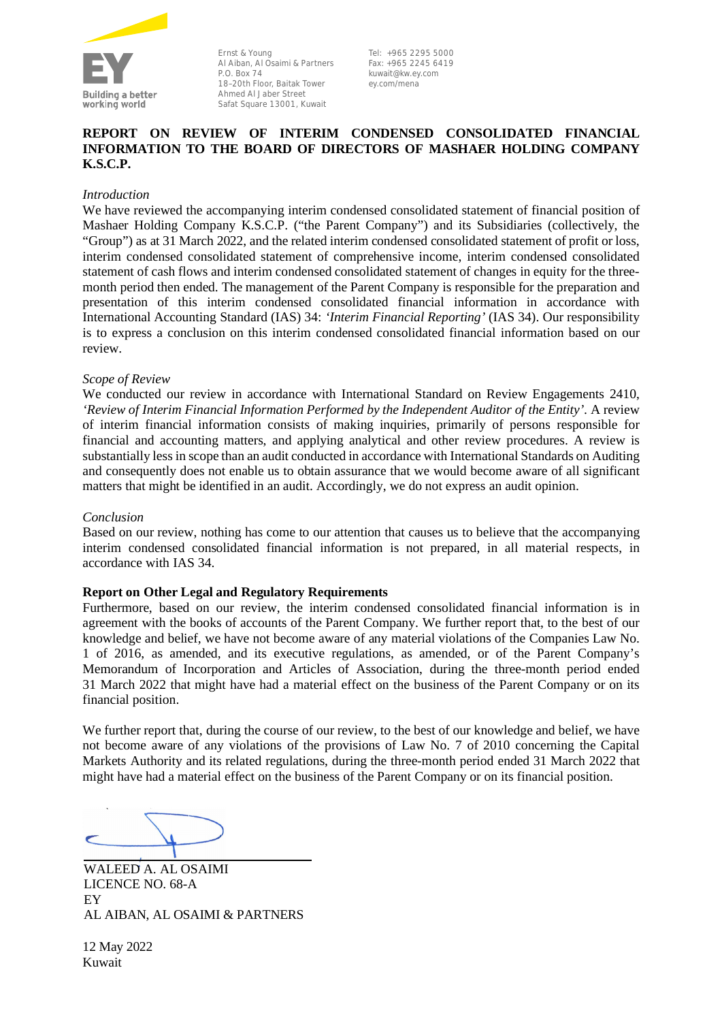

Ernst & Young Al Aiban, Al Osaimi & Partners P.O. Box 74 18–20th Floor, Baitak Tower Ahmed Al Jaber Street Safat Square 13001, Kuwait

Tel: +965 2295 5000 Fax: +965 2245 6419 kuwait@kw.ey.com ey.com/mena

### **REPORT ON REVIEW OF INTERIM CONDENSED CONSOLIDATED FINANCIAL INFORMATION TO THE BOARD OF DIRECTORS OF MASHAER HOLDING COMPANY K.S.C.P.**

### *Introduction*

We have reviewed the accompanying interim condensed consolidated statement of financial position of Mashaer Holding Company K.S.C.P. ("the Parent Company") and its Subsidiaries (collectively, the "Group") as at 31 March 2022, and the related interim condensed consolidated statement of profit or loss, interim condensed consolidated statement of comprehensive income, interim condensed consolidated statement of cash flows and interim condensed consolidated statement of changes in equity for the threemonth period then ended. The management of the Parent Company is responsible for the preparation and presentation of this interim condensed consolidated financial information in accordance with International Accounting Standard (IAS) 34: *'Interim Financial Reporting'* (IAS 34). Our responsibility is to express a conclusion on this interim condensed consolidated financial information based on our review.

### *Scope of Review*

We conducted our review in accordance with International Standard on Review Engagements 2410, *'Review of Interim Financial Information Performed by the Independent Auditor of the Entity'*. A review of interim financial information consists of making inquiries, primarily of persons responsible for financial and accounting matters, and applying analytical and other review procedures. A review is substantially less in scope than an audit conducted in accordance with International Standards on Auditing and consequently does not enable us to obtain assurance that we would become aware of all significant matters that might be identified in an audit. Accordingly, we do not express an audit opinion.

### *Conclusion*

Based on our review, nothing has come to our attention that causes us to believe that the accompanying interim condensed consolidated financial information is not prepared, in all material respects, in accordance with IAS 34.

### **Report on Other Legal and Regulatory Requirements**

Furthermore, based on our review, the interim condensed consolidated financial information is in agreement with the books of accounts of the Parent Company. We further report that, to the best of our knowledge and belief, we have not become aware of any material violations of the Companies Law No. 1 of 2016, as amended, and its executive regulations, as amended, or of the Parent Company's Memorandum of Incorporation and Articles of Association, during the three-month period ended 31 March 2022 that might have had a material effect on the business of the Parent Company or on its financial position.

We further report that, during the course of our review, to the best of our knowledge and belief, we have not become aware of any violations of the provisions of Law No. 7 of 2010 concerning the Capital Markets Authority and its related regulations, during the three-month period ended 31 March 2022 that might have had a material effect on the business of the Parent Company or on its financial position.

WALEED A. AL OSAIMI LICENCE NO. 68-A EY AL AIBAN, AL OSAIMI & PARTNERS

12 May 2022 Kuwait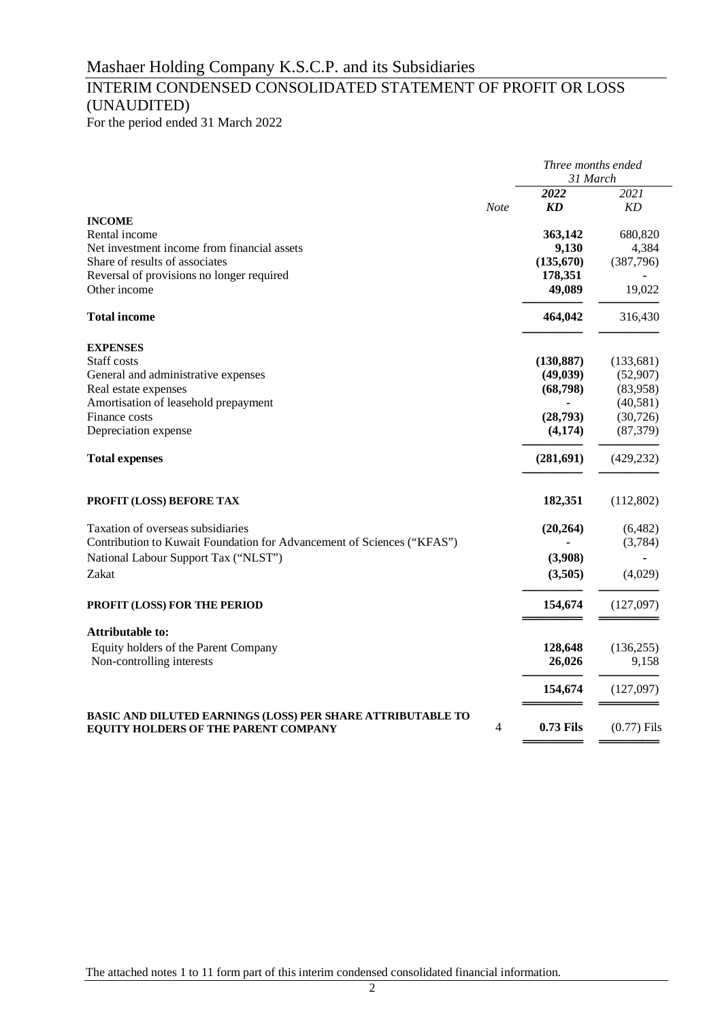# INTERIM CONDENSED CONSOLIDATED STATEMENT OF PROFIT OR LOSS (UNAUDITED)

For the period ended 31 March 2022

|                                                                                                            |             | Three months ended<br>31 March |               |  |
|------------------------------------------------------------------------------------------------------------|-------------|--------------------------------|---------------|--|
|                                                                                                            |             | 2022                           | 2021          |  |
|                                                                                                            | <b>Note</b> | <b>KD</b>                      | ΚD            |  |
| <b>INCOME</b>                                                                                              |             |                                |               |  |
| Rental income                                                                                              |             | 363,142                        | 680,820       |  |
| Net investment income from financial assets                                                                |             | 9,130                          | 4,384         |  |
| Share of results of associates                                                                             |             | (135,670)                      | (387,796)     |  |
| Reversal of provisions no longer required                                                                  |             | 178,351                        |               |  |
| Other income                                                                                               |             | 49,089                         | 19,022        |  |
| <b>Total income</b>                                                                                        |             | 464,042                        | 316,430       |  |
| <b>EXPENSES</b>                                                                                            |             |                                |               |  |
| Staff costs                                                                                                |             | (130, 887)                     | (133, 681)    |  |
| General and administrative expenses                                                                        |             | (49, 039)                      | (52,907)      |  |
| Real estate expenses                                                                                       |             | (68,798)                       | (83,958)      |  |
| Amortisation of leasehold prepayment                                                                       |             |                                | (40,581)      |  |
| Finance costs                                                                                              |             | (28,793)                       | (30, 726)     |  |
| Depreciation expense                                                                                       |             | (4,174)                        | (87, 379)     |  |
| <b>Total expenses</b>                                                                                      |             | (281, 691)                     | (429, 232)    |  |
| PROFIT (LOSS) BEFORE TAX                                                                                   |             | 182,351                        | (112,802)     |  |
| Taxation of overseas subsidiaries                                                                          |             | (20, 264)                      | (6,482)       |  |
| Contribution to Kuwait Foundation for Advancement of Sciences ("KFAS")                                     |             |                                | (3,784)       |  |
| National Labour Support Tax ("NLST")                                                                       |             | (3,908)                        |               |  |
| Zakat                                                                                                      |             | (3,505)                        | (4,029)       |  |
| <b>PROFIT (LOSS) FOR THE PERIOD</b>                                                                        |             | 154,674                        | (127,097)     |  |
|                                                                                                            |             |                                |               |  |
| <b>Attributable to:</b>                                                                                    |             |                                |               |  |
| Equity holders of the Parent Company                                                                       |             | 128,648                        | (136, 255)    |  |
| Non-controlling interests                                                                                  |             | 26,026                         | 9,158         |  |
|                                                                                                            |             | 154,674                        | (127,097)     |  |
| <b>BASIC AND DILUTED EARNINGS (LOSS) PER SHARE ATTRIBUTABLE TO</b><br>EQUITY HOLDERS OF THE PARENT COMPANY | 4           | <b>0.73 Fils</b>               | $(0.77)$ Fils |  |
|                                                                                                            |             |                                |               |  |

The attached notes 1 to 11 form part of this interim condensed consolidated financial information.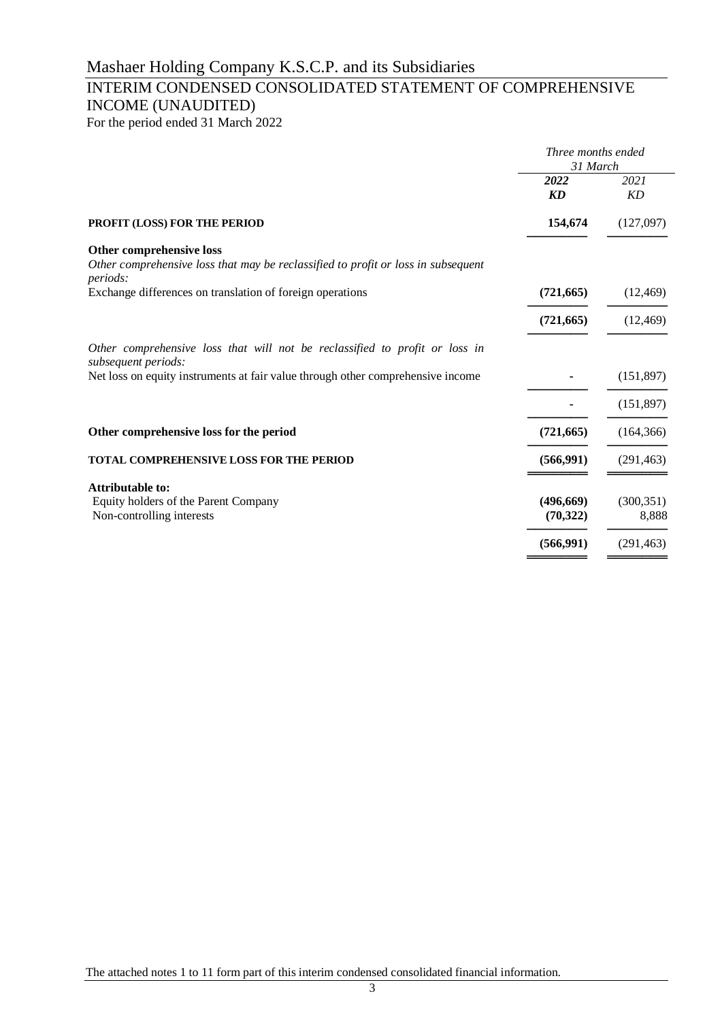# INTERIM CONDENSED CONSOLIDATED STATEMENT OF COMPREHENSIVE INCOME (UNAUDITED)

For the period ended 31 March 2022

|                                                                                                                                  | Three months ended<br>31 March |                   |  |
|----------------------------------------------------------------------------------------------------------------------------------|--------------------------------|-------------------|--|
|                                                                                                                                  | 2022<br><b>KD</b>              | 2021<br><b>KD</b> |  |
| <b>PROFIT (LOSS) FOR THE PERIOD</b>                                                                                              | 154,674                        | (127,097)         |  |
| <b>Other comprehensive loss</b><br>Other comprehensive loss that may be reclassified to profit or loss in subsequent<br>periods: |                                |                   |  |
| Exchange differences on translation of foreign operations                                                                        | (721, 665)                     | (12, 469)         |  |
|                                                                                                                                  | (721, 665)                     | (12, 469)         |  |
| Other comprehensive loss that will not be reclassified to profit or loss in<br>subsequent periods:                               |                                |                   |  |
| Net loss on equity instruments at fair value through other comprehensive income                                                  |                                | (151,897)         |  |
|                                                                                                                                  |                                | (151, 897)        |  |
| Other comprehensive loss for the period                                                                                          | (721, 665)                     | (164, 366)        |  |
| <b>TOTAL COMPREHENSIVE LOSS FOR THE PERIOD</b>                                                                                   | (566, 991)                     | (291, 463)        |  |
| <b>Attributable to:</b>                                                                                                          |                                |                   |  |
| Equity holders of the Parent Company                                                                                             | (496,669)                      | (300, 351)        |  |
| Non-controlling interests                                                                                                        | (70, 322)                      | 8,888             |  |
|                                                                                                                                  | (566,991)                      | (291, 463)        |  |
|                                                                                                                                  |                                |                   |  |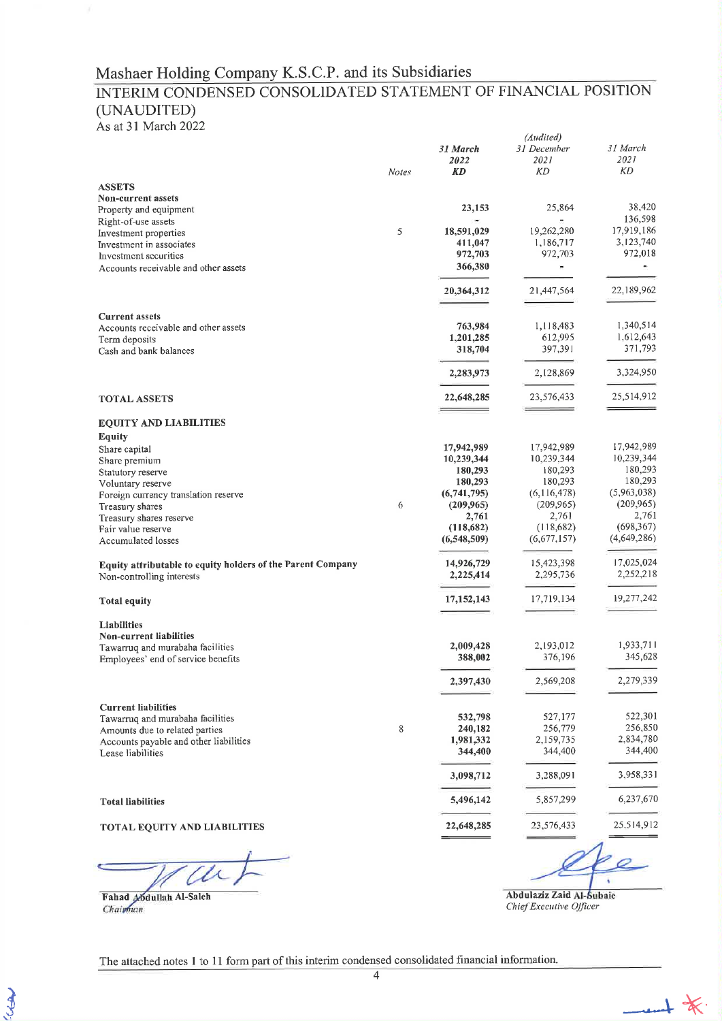### Mashaer Holding Company K.S.C.P. and its Subsidiaries

# INTERIM CONDENSED CONSOLIDATED STATEMENT OF FINANCIAL POSITION (UNAUDITED)

As at 31 March 2022

|                                                                    |              |                        | (Audited)                        |                        |
|--------------------------------------------------------------------|--------------|------------------------|----------------------------------|------------------------|
|                                                                    | <b>Notes</b> | 31 March<br>2022<br>KD | 31 December<br>2021<br><b>KD</b> | 31 March<br>2021<br>KD |
|                                                                    |              |                        |                                  |                        |
| <b>ASSETS</b><br><b>Non-current assets</b>                         |              |                        |                                  |                        |
| Property and equipment                                             |              | 23,153                 | 25,864                           | 38,420                 |
| Right-of-use assets                                                |              |                        |                                  | 136,598                |
| Investment properties                                              | 5            | 18,591,029             | 19,262,280                       | 17,919,186             |
| Investment in associates                                           |              | 411,047                | 1,186,717                        | 3,123,740              |
| Investment securities                                              |              | 972,703                | 972,703                          | 972,018                |
| Accounts receivable and other assets                               |              | 366,380                |                                  | ×.                     |
|                                                                    |              | 20,364,312             | 21,447,564                       | 22,189,962             |
| <b>Current assets</b>                                              |              |                        |                                  |                        |
| Accounts receivable and other assets                               |              | 763,984                | 1,118,483                        | 1,340,514              |
| Term deposits                                                      |              | 1,201,285              | 612,995                          | 1,612,643              |
| Cash and bank balances                                             |              | 318,704                | 397,391                          | 371,793                |
|                                                                    |              | 2,283,973              | 2,128,869                        | 3,324,950              |
| <b>TOTAL ASSETS</b>                                                |              | 22,648,285             | 23,576,433                       | 25,514,912             |
| <b>EQUITY AND LIABILITIES</b>                                      |              |                        |                                  |                        |
| <b>Equity</b>                                                      |              |                        |                                  |                        |
| Share capital                                                      |              | 17,942,989             | 17,942,989                       | 17,942,989             |
| Share premium                                                      |              | 10,239,344             | 10,239,344                       | 10,239,344             |
| Statutory reserve                                                  |              | 180,293                | 180,293                          | 180,293<br>180,293     |
| Voluntary reserve                                                  |              | 180,293<br>(6,741,795) | 180,293<br>(6,116,478)           | (5,963,038)            |
| Foreign currency translation reserve<br>Treasury shares            | 6            | (209,965)              | (209, 965)                       | (209, 965)             |
| Treasury shares reserve                                            |              | 2,761                  | 2,761                            | 2,761                  |
| Fair value reserve                                                 |              | (118,682)              | (118,682)                        | (698, 367)             |
| Accumulated losses                                                 |              | (6,548,509)            | (6,677,157)                      | (4,649,286)            |
| Equity attributable to equity holders of the Parent Company        |              | 14,926,729             | 15,423,398                       | 17,025,024             |
| Non-controlling interests                                          |              | 2,225,414              | 2,295,736                        | 2,252,218              |
| <b>Total equity</b>                                                |              | 17, 152, 143           | 17,719,134                       | 19,277,242             |
| Liabilities                                                        |              |                        |                                  |                        |
| <b>Non-current liabilities</b><br>Tawarruq and murabaha facilities |              | 2,009,428              | 2,193,012                        | 1,933,711              |
| Employees' end of service benefits                                 |              | 388,002                | 376,196                          | 345,628                |
|                                                                    |              | 2,397,430              | 2,569,208                        | 2,279,339              |
| <b>Current liabilities</b>                                         |              |                        |                                  |                        |
| Tawarruq and murabaha facilities                                   |              | 532,798                | 527,177                          | 522,301                |
| Amounts due to related parties                                     | 8            | 240,182                | 256,779                          | 256,850                |
| Accounts payable and other liabilities                             |              | 1,981,332              | 2,159,735                        | 2,834,780              |
| Lease liabilities                                                  |              | 344,400                | 344,400                          | 344,400                |
|                                                                    |              | 3,098,712              | 3,288,091                        | 3,958,331              |
| <b>Total liabilities</b>                                           |              | 5,496,142              | 5,857,299                        | 6,237,670              |
| <b>TOTAL EQUITY AND LIABILITIES</b>                                |              | 22,648,285             | 23,576,433                       | 25.514,912             |
|                                                                    |              |                        |                                  |                        |

L

Fahad Mdullah Al-Saleh<br>Chairman

LIBR

Abdulaziz Zaid Al-Subaie Chief Executive Officer

 $-$ 

The attached notes 1 to 11 form part of this interim condensed consolidated financial information.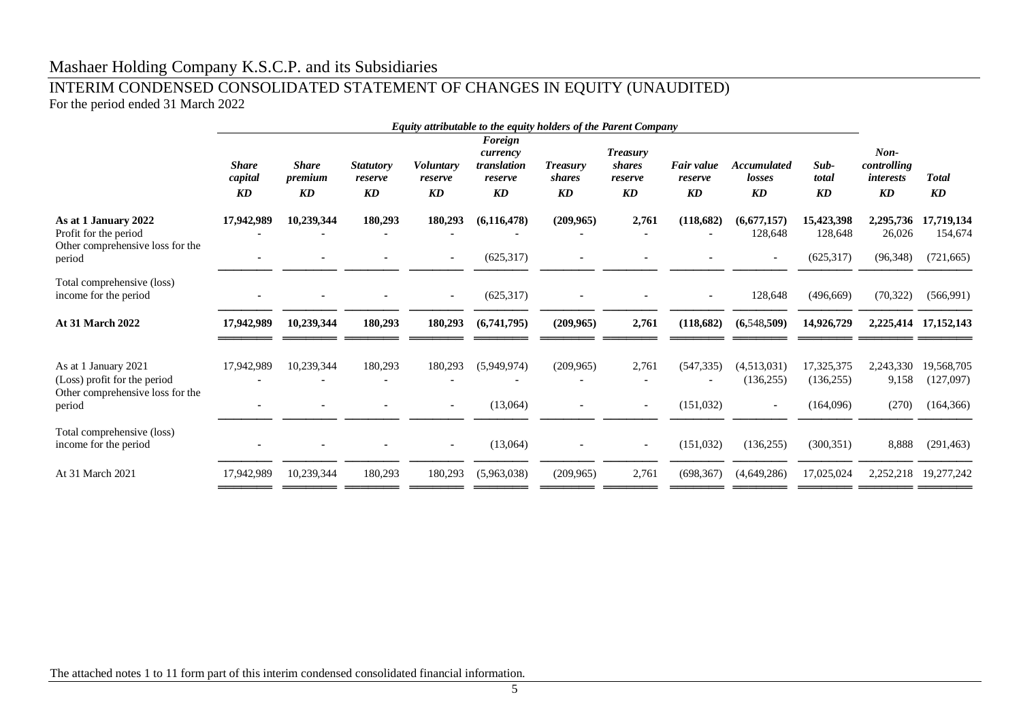## Mashaer Holding Company K.S.C.P. and its Subsidiaries

### INTERIM CONDENSED CONSOLIDATED STATEMENT OF CHANGES IN EQUITY (UNAUDITED) For the period ended 31 March 2022

|                                                                                                    | Equity attributable to the equity holders of the Parent Company |                                                           |                                                       |                                   |                                                                         |                                        |                                                                       |                             |                                                        |                                       |                                                                     |                                       |
|----------------------------------------------------------------------------------------------------|-----------------------------------------------------------------|-----------------------------------------------------------|-------------------------------------------------------|-----------------------------------|-------------------------------------------------------------------------|----------------------------------------|-----------------------------------------------------------------------|-----------------------------|--------------------------------------------------------|---------------------------------------|---------------------------------------------------------------------|---------------------------------------|
|                                                                                                    | <b>Share</b><br>capital<br>$\mathbf{K}\mathbf{D}$               | <b>Share</b><br>premium<br>$\boldsymbol{K}\boldsymbol{D}$ | <b>Statutory</b><br>reserve<br>$\mathbf{K}\mathbf{D}$ | <b>Voluntary</b><br>reserve<br>KD | Foreign<br>currency<br>translation<br>reserve<br>$\mathbf{K}\mathbf{D}$ | <b>Treasury</b><br><i>shares</i><br>KD | <b>Treasury</b><br><i>shares</i><br>reserve<br>$\mathbf{K}\mathbf{D}$ | Fair value<br>reserve<br>KD | <b>Accumulated</b><br>losses<br>$\mathbf{K}\mathbf{D}$ | Sub-<br>total<br>KD                   | $Non-$<br>controlling<br><i>interests</i><br>$\mathbf{K}\mathbf{D}$ | <b>Total</b><br>KD                    |
| As at 1 January 2022<br>Profit for the period<br>Other comprehensive loss for the                  | 17,942,989                                                      | 10,239,344                                                | 180,293                                               | 180,293                           | (6, 116, 478)                                                           | (209, 965)                             | 2.761                                                                 | (118,682)                   | (6.677.157)<br>128,648                                 | 15,423,398<br>128,648                 | 2,295,736<br>26,026                                                 | 17,719,134<br>154,674                 |
| period                                                                                             |                                                                 |                                                           |                                                       | $\sim$                            | (625, 317)                                                              |                                        |                                                                       |                             |                                                        | (625,317)                             | (96,348)                                                            | (721, 665)                            |
| Total comprehensive (loss)<br>income for the period                                                |                                                                 |                                                           |                                                       | $\sim$                            | (625,317)                                                               |                                        |                                                                       |                             | 128,648                                                | (496, 669)                            | (70, 322)                                                           | (566,991)                             |
| <b>At 31 March 2022</b>                                                                            | 17,942,989                                                      | 10,239,344                                                | 180,293                                               | 180,293                           | (6,741,795)                                                             | (209, 965)                             | 2,761                                                                 | (118,682)                   | (6,548,509)                                            | 14,926,729                            |                                                                     | 2,225,414 17,152,143                  |
| As at 1 January 2021<br>(Loss) profit for the period<br>Other comprehensive loss for the<br>period | 17,942,989                                                      | 10,239,344                                                | 180,293                                               | 180,293<br>$\sim$                 | (5,949,974)<br>(13,064)                                                 | (209, 965)                             | 2,761<br>$\sim$                                                       | (547, 335)<br>(151, 032)    | (4,513,031)<br>(136, 255)<br>$\sim$                    | 17,325,375<br>(136, 255)<br>(164,096) | 2,243,330<br>9,158<br>(270)                                         | 19,568,705<br>(127,097)<br>(164, 366) |
| Total comprehensive (loss)<br>income for the period                                                |                                                                 |                                                           |                                                       | $\sim$                            | (13,064)                                                                |                                        | $\sim$                                                                | (151,032)                   | (136, 255)                                             | (300, 351)                            | 8,888                                                               | (291, 463)                            |
| At 31 March 2021                                                                                   | 17,942,989                                                      | 10,239,344                                                | 180,293                                               | 180,293                           | (5,963,038)                                                             | (209, 965)                             | 2,761                                                                 | (698, 367)                  | (4,649,286)                                            | 17,025,024                            | 2,252,218                                                           | 19,277,242                            |
|                                                                                                    |                                                                 |                                                           |                                                       |                                   |                                                                         |                                        |                                                                       |                             |                                                        |                                       |                                                                     |                                       |

The attached notes 1 to 11 form part of this interim condensed consolidated financial information.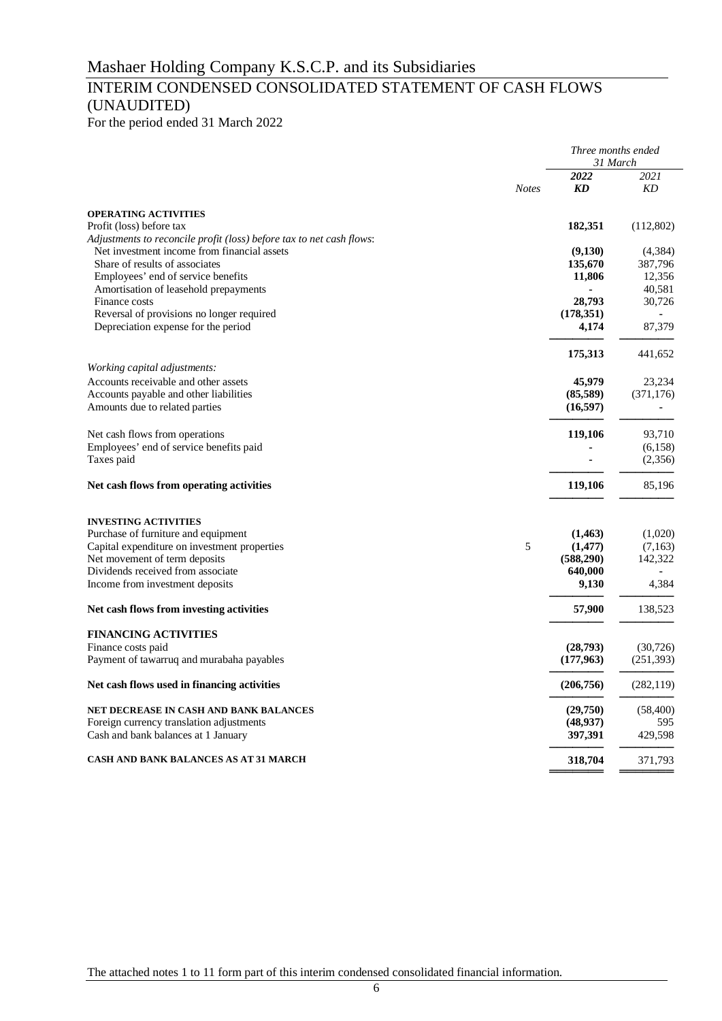# INTERIM CONDENSED CONSOLIDATED STATEMENT OF CASH FLOWS (UNAUDITED)

For the period ended 31 March 2022

|                                                                                                                     |              | Three months ended<br>31 March |            |  |
|---------------------------------------------------------------------------------------------------------------------|--------------|--------------------------------|------------|--|
|                                                                                                                     | <b>Notes</b> | 2022<br><b>KD</b>              | 2021<br>KD |  |
| <b>OPERATING ACTIVITIES</b>                                                                                         |              |                                |            |  |
| Profit (loss) before tax                                                                                            |              | 182,351                        | (112,802)  |  |
| Adjustments to reconcile profit (loss) before tax to net cash flows:<br>Net investment income from financial assets |              | (9,130)                        | (4,384)    |  |
| Share of results of associates                                                                                      |              | 135,670                        | 387,796    |  |
| Employees' end of service benefits                                                                                  |              | 11,806                         | 12,356     |  |
| Amortisation of leasehold prepayments                                                                               |              |                                | 40,581     |  |
| Finance costs                                                                                                       |              | 28,793                         | 30,726     |  |
| Reversal of provisions no longer required                                                                           |              | (178,351)                      |            |  |
| Depreciation expense for the period                                                                                 |              | 4,174                          | 87,379     |  |
|                                                                                                                     |              | 175,313                        | 441,652    |  |
| Working capital adjustments:<br>Accounts receivable and other assets                                                |              | 45,979                         | 23,234     |  |
| Accounts payable and other liabilities                                                                              |              | (85,589)                       | (371, 176) |  |
| Amounts due to related parties                                                                                      |              | (16, 597)                      |            |  |
| Net cash flows from operations                                                                                      |              | 119,106                        | 93,710     |  |
| Employees' end of service benefits paid                                                                             |              |                                | (6,158)    |  |
| Taxes paid                                                                                                          |              |                                | (2,356)    |  |
| Net cash flows from operating activities                                                                            |              | 119,106                        | 85,196     |  |
| <b>INVESTING ACTIVITIES</b>                                                                                         |              |                                |            |  |
| Purchase of furniture and equipment                                                                                 |              | (1, 463)                       | (1,020)    |  |
| Capital expenditure on investment properties                                                                        | 5            | (1, 477)                       | (7,163)    |  |
| Net movement of term deposits                                                                                       |              | (588,290)                      | 142,322    |  |
| Dividends received from associate                                                                                   |              | 640,000                        |            |  |
| Income from investment deposits                                                                                     |              | 9,130                          | 4,384      |  |
| Net cash flows from investing activities                                                                            |              | 57,900                         | 138,523    |  |
| <b>FINANCING ACTIVITIES</b>                                                                                         |              |                                |            |  |
| Finance costs paid                                                                                                  |              | (28,793)                       | (30, 726)  |  |
| Payment of tawarruq and murabaha payables                                                                           |              | (177,963)                      | (251, 393) |  |
| Net cash flows used in financing activities                                                                         |              | (206,756)                      | (282, 119) |  |
| NET DECREASE IN CASH AND BANK BALANCES                                                                              |              | (29,750)                       | (58, 400)  |  |
| Foreign currency translation adjustments                                                                            |              | (48, 937)                      | 595        |  |
| Cash and bank balances at 1 January                                                                                 |              | 397,391                        | 429,598    |  |
| CASH AND BANK BALANCES AS AT 31 MARCH                                                                               |              | 318,704                        | 371,793    |  |
|                                                                                                                     |              |                                |            |  |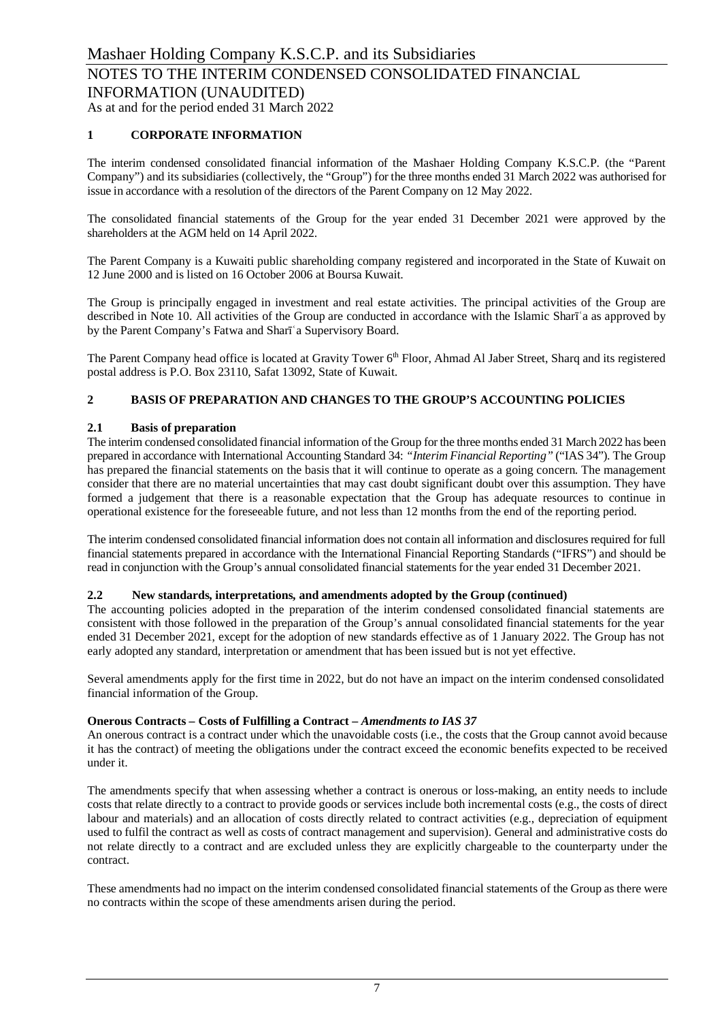### **1 CORPORATE INFORMATION**

The interim condensed consolidated financial information of the Mashaer Holding Company K.S.C.P. (the "Parent Company") and its subsidiaries (collectively, the "Group") for the three months ended 31 March 2022 was authorised for issue in accordance with a resolution of the directors of the Parent Company on 12 May 2022.

The consolidated financial statements of the Group for the year ended 31 December 2021 were approved by the shareholders at the AGM held on 14 April 2022.

The Parent Company is a Kuwaiti public shareholding company registered and incorporated in the State of Kuwait on 12 June 2000 and is listed on 16 October 2006 at Boursa Kuwait.

The Group is principally engaged in investment and real estate activities. The principal activities of the Group are described in Note 10. All activities of the Group are conducted in accordance with the Islamic Sharīʿa as approved by by the Parent Company's Fatwa and Sharīʿa Supervisory Board.

The Parent Company head office is located at Gravity Tower 6<sup>th</sup> Floor, Ahmad Al Jaber Street, Sharq and its registered postal address is P.O. Box 23110, Safat 13092, State of Kuwait.

### **2 BASIS OF PREPARATION AND CHANGES TO THE GROUP'S ACCOUNTING POLICIES**

### **2.1 Basis of preparation**

The interim condensed consolidated financial information of the Group for the three months ended 31 March 2022 has been prepared in accordance with International Accounting Standard 34: *"Interim Financial Reporting"* ("IAS 34"). The Group has prepared the financial statements on the basis that it will continue to operate as a going concern. The management consider that there are no material uncertainties that may cast doubt significant doubt over this assumption. They have formed a judgement that there is a reasonable expectation that the Group has adequate resources to continue in operational existence for the foreseeable future, and not less than 12 months from the end of the reporting period.

The interim condensed consolidated financial information does not contain all information and disclosures required for full financial statements prepared in accordance with the International Financial Reporting Standards ("IFRS") and should be read in conjunction with the Group's annual consolidated financial statements for the year ended 31 December 2021.

### **2.2 New standards, interpretations, and amendments adopted by the Group (continued)**

The accounting policies adopted in the preparation of the interim condensed consolidated financial statements are consistent with those followed in the preparation of the Group's annual consolidated financial statements for the year ended 31 December 2021, except for the adoption of new standards effective as of 1 January 2022. The Group has not early adopted any standard, interpretation or amendment that has been issued but is not yet effective.

Several amendments apply for the first time in 2022, but do not have an impact on the interim condensed consolidated financial information of the Group.

### **Onerous Contracts – Costs of Fulfilling a Contract –** *Amendments to IAS 37*

An onerous contract is a contract under which the unavoidable costs (i.e., the costs that the Group cannot avoid because it has the contract) of meeting the obligations under the contract exceed the economic benefits expected to be received under it.

The amendments specify that when assessing whether a contract is onerous or loss-making, an entity needs to include costs that relate directly to a contract to provide goods or services include both incremental costs (e.g., the costs of direct labour and materials) and an allocation of costs directly related to contract activities (e.g., depreciation of equipment used to fulfil the contract as well as costs of contract management and supervision). General and administrative costs do not relate directly to a contract and are excluded unless they are explicitly chargeable to the counterparty under the contract.

These amendments had no impact on the interim condensed consolidated financial statements of the Group as there were no contracts within the scope of these amendments arisen during the period.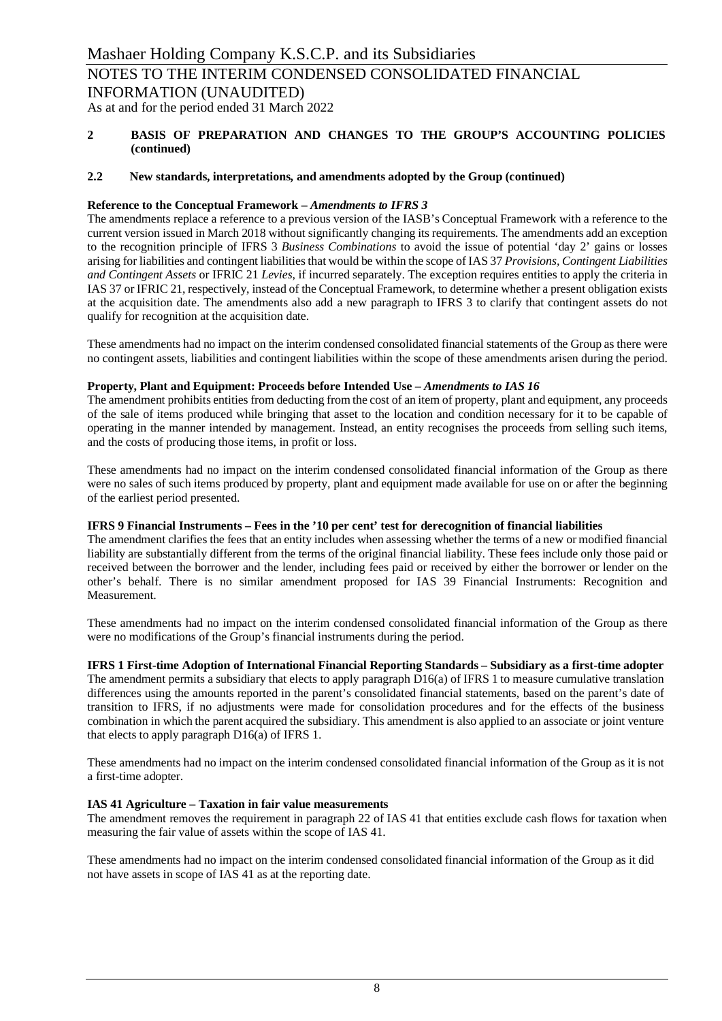### **2 BASIS OF PREPARATION AND CHANGES TO THE GROUP'S ACCOUNTING POLICIES (continued)**

### **2.2 New standards, interpretations, and amendments adopted by the Group (continued)**

### **Reference to the Conceptual Framework –** *Amendments to IFRS 3*

The amendments replace a reference to a previous version of the IASB's Conceptual Framework with a reference to the current version issued in March 2018 without significantly changing its requirements. The amendments add an exception to the recognition principle of IFRS 3 *Business Combinations* to avoid the issue of potential 'day 2' gains or losses arising for liabilities and contingent liabilities that would be within the scope of IAS 37 *Provisions, Contingent Liabilities and Contingent Assets* or IFRIC 21 *Levies*, if incurred separately. The exception requires entities to apply the criteria in IAS 37 or IFRIC 21, respectively, instead of the Conceptual Framework, to determine whether a present obligation exists at the acquisition date. The amendments also add a new paragraph to IFRS 3 to clarify that contingent assets do not qualify for recognition at the acquisition date.

These amendments had no impact on the interim condensed consolidated financial statements of the Group as there were no contingent assets, liabilities and contingent liabilities within the scope of these amendments arisen during the period.

### **Property, Plant and Equipment: Proceeds before Intended Use** *– Amendments to IAS 16*

The amendment prohibits entities from deducting from the cost of an item of property, plant and equipment, any proceeds of the sale of items produced while bringing that asset to the location and condition necessary for it to be capable of operating in the manner intended by management. Instead, an entity recognises the proceeds from selling such items, and the costs of producing those items, in profit or loss.

These amendments had no impact on the interim condensed consolidated financial information of the Group as there were no sales of such items produced by property, plant and equipment made available for use on or after the beginning of the earliest period presented.

### **IFRS 9 Financial Instruments – Fees in the '10 per cent' test for derecognition of financial liabilities**

The amendment clarifies the fees that an entity includes when assessing whether the terms of a new or modified financial liability are substantially different from the terms of the original financial liability. These fees include only those paid or received between the borrower and the lender, including fees paid or received by either the borrower or lender on the other's behalf. There is no similar amendment proposed for IAS 39 Financial Instruments: Recognition and Measurement.

These amendments had no impact on the interim condensed consolidated financial information of the Group as there were no modifications of the Group's financial instruments during the period.

### **IFRS 1 First-time Adoption of International Financial Reporting Standards – Subsidiary as a first-time adopter**

The amendment permits a subsidiary that elects to apply paragraph D16(a) of IFRS 1 to measure cumulative translation differences using the amounts reported in the parent's consolidated financial statements, based on the parent's date of transition to IFRS, if no adjustments were made for consolidation procedures and for the effects of the business combination in which the parent acquired the subsidiary. This amendment is also applied to an associate or joint venture that elects to apply paragraph D16(a) of IFRS 1.

These amendments had no impact on the interim condensed consolidated financial information of the Group as it is not a first-time adopter.

### **IAS 41 Agriculture – Taxation in fair value measurements**

The amendment removes the requirement in paragraph 22 of IAS 41 that entities exclude cash flows for taxation when measuring the fair value of assets within the scope of IAS 41.

These amendments had no impact on the interim condensed consolidated financial information of the Group as it did not have assets in scope of IAS 41 as at the reporting date.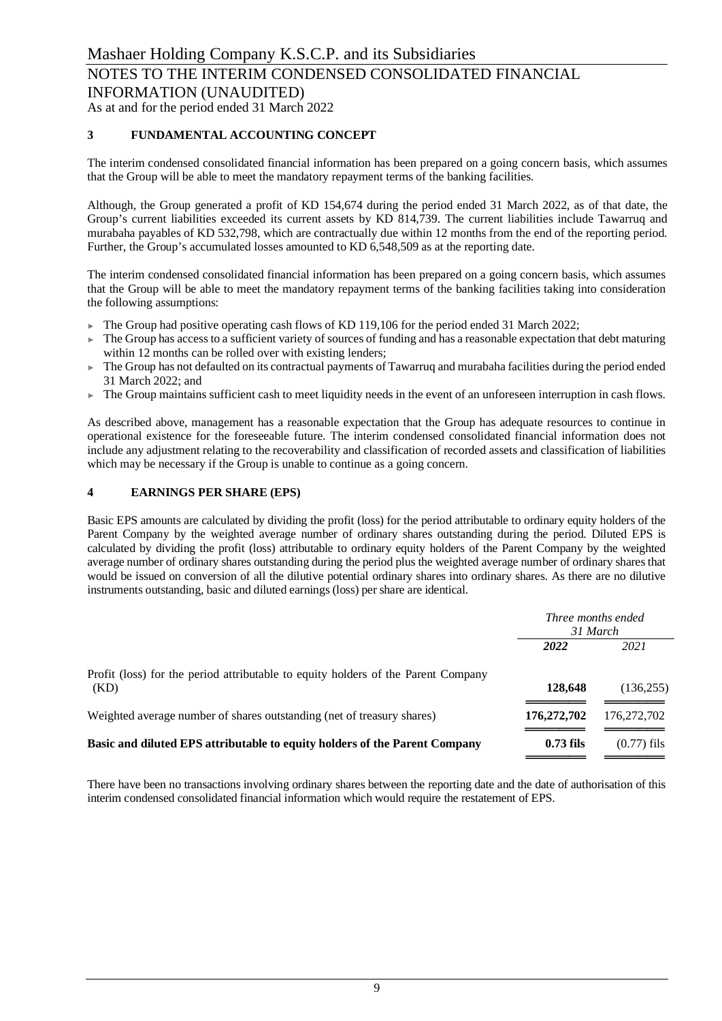As at and for the period ended 31 March 2022

### **3 FUNDAMENTAL ACCOUNTING CONCEPT**

The interim condensed consolidated financial information has been prepared on a going concern basis, which assumes that the Group will be able to meet the mandatory repayment terms of the banking facilities.

Although, the Group generated a profit of KD 154,674 during the period ended 31 March 2022, as of that date, the Group's current liabilities exceeded its current assets by KD 814,739. The current liabilities include Tawarruq and murabaha payables of KD 532,798, which are contractually due within 12 months from the end of the reporting period. Further, the Group's accumulated losses amounted to KD 6,548,509 as at the reporting date.

The interim condensed consolidated financial information has been prepared on a going concern basis, which assumes that the Group will be able to meet the mandatory repayment terms of the banking facilities taking into consideration the following assumptions:

- ► The Group had positive operating cash flows of KD 119,106 for the period ended 31 March 2022;
- The Group has access to a sufficient variety of sources of funding and has a reasonable expectation that debt maturing within 12 months can be rolled over with existing lenders;
- The Group has not defaulted on its contractual payments of Tawarruq and murabaha facilities during the period ended 31 March 2022; and
- ► The Group maintains sufficient cash to meet liquidity needs in the event of an unforeseen interruption in cash flows.

As described above, management has a reasonable expectation that the Group has adequate resources to continue in operational existence for the foreseeable future. The interim condensed consolidated financial information does not include any adjustment relating to the recoverability and classification of recorded assets and classification of liabilities which may be necessary if the Group is unable to continue as a going concern.

### **4 EARNINGS PER SHARE (EPS)**

Basic EPS amounts are calculated by dividing the profit (loss) for the period attributable to ordinary equity holders of the Parent Company by the weighted average number of ordinary shares outstanding during the period. Diluted EPS is calculated by dividing the profit (loss) attributable to ordinary equity holders of the Parent Company by the weighted average number of ordinary shares outstanding during the period plus the weighted average number of ordinary shares that would be issued on conversion of all the dilutive potential ordinary shares into ordinary shares. As there are no dilutive instruments outstanding, basic and diluted earnings (loss) per share are identical.

|                                                                                           | Three months ended<br>31 March |               |  |
|-------------------------------------------------------------------------------------------|--------------------------------|---------------|--|
|                                                                                           | 2022                           | 2021          |  |
| Profit (loss) for the period attributable to equity holders of the Parent Company<br>(KD) | 128,648                        | (136, 255)    |  |
| Weighted average number of shares outstanding (net of treasury shares)                    | 176,272,702                    | 176, 272, 702 |  |
| Basic and diluted EPS attributable to equity holders of the Parent Company                | $0.73$ fils                    | $(0.77)$ fils |  |

There have been no transactions involving ordinary shares between the reporting date and the date of authorisation of this interim condensed consolidated financial information which would require the restatement of EPS.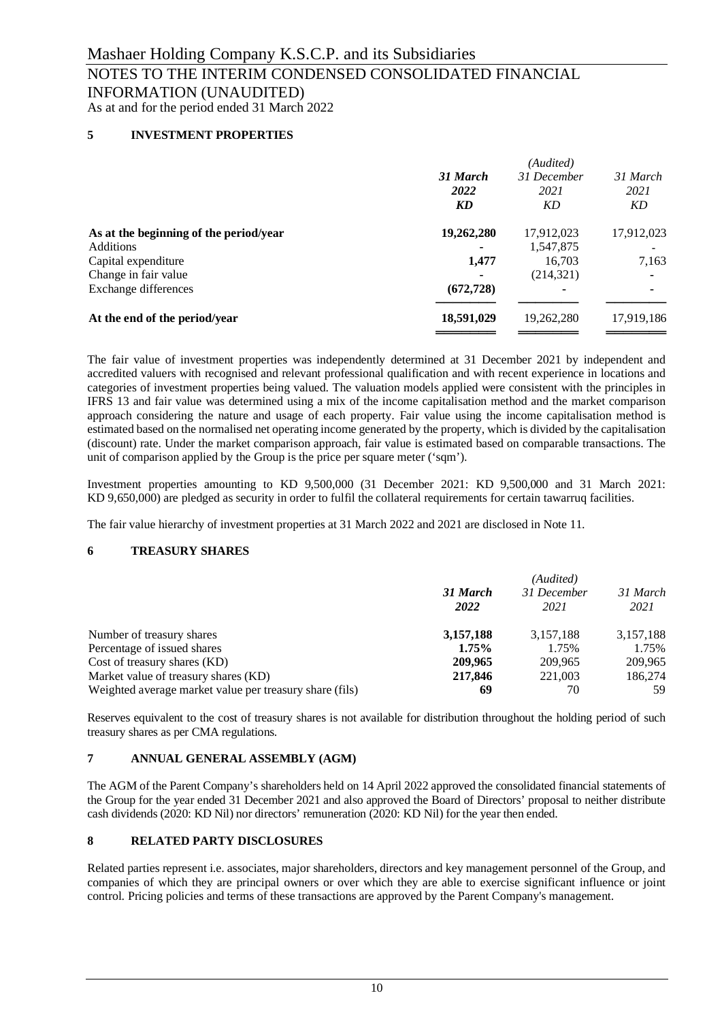# INFORMATION (UNAUDITED)

As at and for the period ended 31 March 2022

### **5 INVESTMENT PROPERTIES**

|                                        | (Audited)  |             |            |  |  |
|----------------------------------------|------------|-------------|------------|--|--|
|                                        | 31 March   | 31 December | 31 March   |  |  |
|                                        | 2022       | 2021        | 2021       |  |  |
|                                        | KD         | KD          | KD         |  |  |
| As at the beginning of the period/year | 19,262,280 | 17,912,023  | 17,912,023 |  |  |
| <b>Additions</b>                       |            | 1,547,875   |            |  |  |
| Capital expenditure                    | 1,477      | 16,703      | 7,163      |  |  |
| Change in fair value                   |            | (214, 321)  | ۰          |  |  |
| Exchange differences                   | (672, 728) | ٠           | ٠          |  |  |
| At the end of the period/year          | 18,591,029 | 19,262,280  | 17,919,186 |  |  |
|                                        |            |             |            |  |  |

The fair value of investment properties was independently determined at 31 December 2021 by independent and accredited valuers with recognised and relevant professional qualification and with recent experience in locations and categories of investment properties being valued. The valuation models applied were consistent with the principles in IFRS 13 and fair value was determined using a mix of the income capitalisation method and the market comparison approach considering the nature and usage of each property. Fair value using the income capitalisation method is estimated based on the normalised net operating income generated by the property, which is divided by the capitalisation (discount) rate. Under the market comparison approach, fair value is estimated based on comparable transactions. The unit of comparison applied by the Group is the price per square meter ('sqm').

Investment properties amounting to KD 9,500,000 (31 December 2021: KD 9,500,000 and 31 March 2021: KD 9,650,000) are pledged as security in order to fulfil the collateral requirements for certain tawarruq facilities.

The fair value hierarchy of investment properties at 31 March 2022 and 2021 are disclosed in Note 11.

### **6 TREASURY SHARES**

|                                                         | (Audited)        |                     |                  |  |  |
|---------------------------------------------------------|------------------|---------------------|------------------|--|--|
|                                                         | 31 March<br>2022 | 31 December<br>2021 | 31 March<br>2021 |  |  |
| Number of treasury shares                               | 3,157,188        | 3,157,188           | 3,157,188        |  |  |
| Percentage of issued shares                             | 1.75%            | 1.75%               | 1.75%            |  |  |
| Cost of treasury shares (KD)                            | 209,965          | 209.965             | 209,965          |  |  |
| Market value of treasury shares (KD)                    | 217,846          | 221,003             | 186,274          |  |  |
| Weighted average market value per treasury share (fils) | 69               | 70                  | 59               |  |  |

Reserves equivalent to the cost of treasury shares is not available for distribution throughout the holding period of such treasury shares as per CMA regulations.

### **7 ANNUAL GENERAL ASSEMBLY (AGM)**

The AGM of the Parent Company's shareholders held on 14 April 2022 approved the consolidated financial statements of the Group for the year ended 31 December 2021 and also approved the Board of Directors' proposal to neither distribute cash dividends (2020: KD Nil) nor directors' remuneration (2020: KD Nil) for the year then ended.

### **8 RELATED PARTY DISCLOSURES**

Related parties represent i.e. associates, major shareholders, directors and key management personnel of the Group, and companies of which they are principal owners or over which they are able to exercise significant influence or joint control. Pricing policies and terms of these transactions are approved by the Parent Company's management.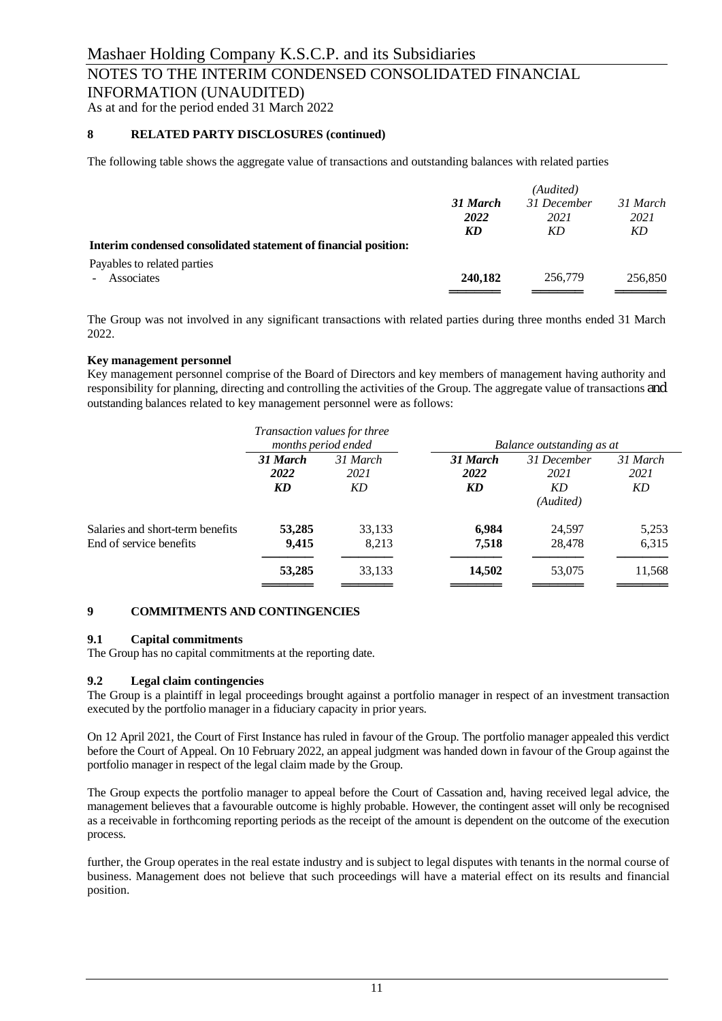### NOTES TO THE INTERIM CONDENSED CONSOLIDATED FINANCIAL

INFORMATION (UNAUDITED)

As at and for the period ended 31 March 2022

### **8 RELATED PARTY DISCLOSURES (continued)**

The following table shows the aggregate value of transactions and outstanding balances with related parties

|                                                                 | (Audited) |             |          |  |
|-----------------------------------------------------------------|-----------|-------------|----------|--|
|                                                                 | 31 March  | 31 December | 31 March |  |
|                                                                 | 2022      | 2021        | 2021     |  |
|                                                                 | KD        | KD          | KD       |  |
| Interim condensed consolidated statement of financial position: |           |             |          |  |
| Payables to related parties                                     |           |             |          |  |
| - Associates                                                    | 240,182   | 256,779     | 256,850  |  |
|                                                                 |           |             |          |  |

The Group was not involved in any significant transactions with related parties during three months ended 31 March 2022.

### **Key management personnel**

Key management personnel comprise of the Board of Directors and key members of management having authority and responsibility for planning, directing and controlling the activities of the Group. The aggregate value of transactions and outstanding balances related to key management personnel were as follows:

|                                                             | <i>Transaction values for three</i><br>months period ended |                        |                        | Balance outstanding as at              |                        |
|-------------------------------------------------------------|------------------------------------------------------------|------------------------|------------------------|----------------------------------------|------------------------|
|                                                             | 31 March<br>2022<br>KD                                     | 31 March<br>2021<br>KD | 31 March<br>2022<br>KD | 31 December<br>2021<br>KD<br>(Audited) | 31 March<br>2021<br>KD |
| Salaries and short-term benefits<br>End of service benefits | 53,285<br>9,415                                            | 33,133<br>8.213        | 6,984<br>7,518         | 24,597<br>28,478                       | 5,253<br>6,315         |
|                                                             | 53,285                                                     | 33,133                 | 14,502                 | 53,075                                 | 11,568                 |

### **9 COMMITMENTS AND CONTINGENCIES**

### **9.1 Capital commitments**

The Group has no capital commitments at the reporting date.

### **9.2 Legal claim contingencies**

The Group is a plaintiff in legal proceedings brought against a portfolio manager in respect of an investment transaction executed by the portfolio manager in a fiduciary capacity in prior years.

On 12 April 2021, the Court of First Instance has ruled in favour of the Group. The portfolio manager appealed this verdict before the Court of Appeal. On 10 February 2022, an appeal judgment was handed down in favour of the Group against the portfolio manager in respect of the legal claim made by the Group.

The Group expects the portfolio manager to appeal before the Court of Cassation and, having received legal advice, the management believes that a favourable outcome is highly probable. However, the contingent asset will only be recognised as a receivable in forthcoming reporting periods as the receipt of the amount is dependent on the outcome of the execution process.

further, the Group operates in the real estate industry and is subject to legal disputes with tenants in the normal course of business. Management does not believe that such proceedings will have a material effect on its results and financial position.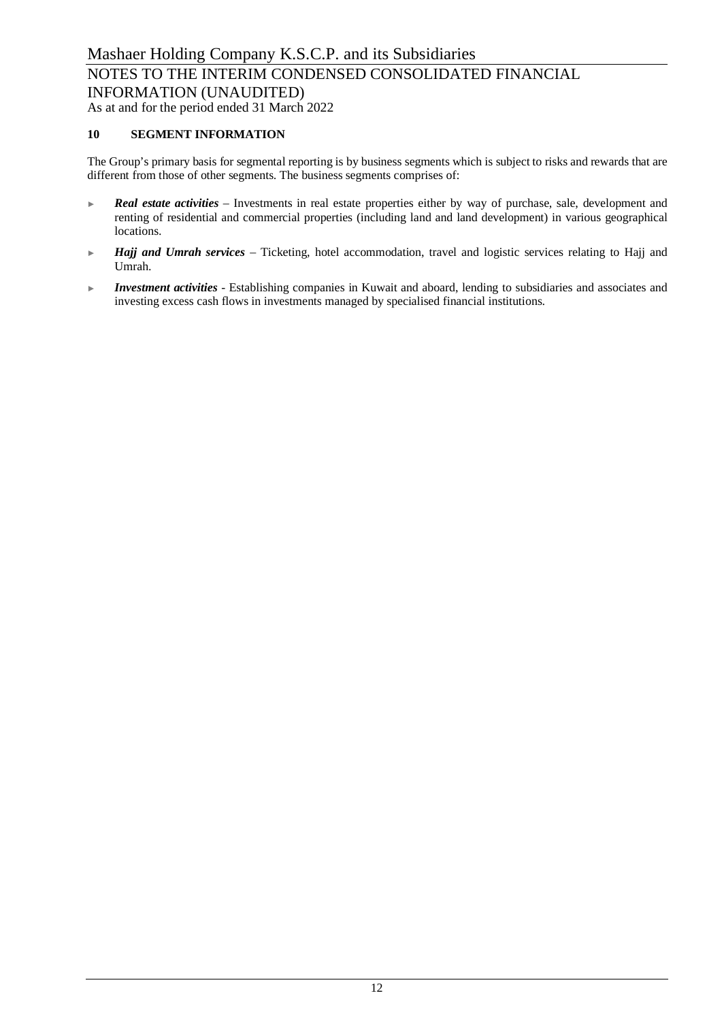### **10 SEGMENT INFORMATION**

The Group's primary basis for segmental reporting is by business segments which is subject to risks and rewards that are different from those of other segments. The business segments comprises of:

- ► *Real estate activities* Investments in real estate properties either by way of purchase, sale, development and renting of residential and commercial properties (including land and land development) in various geographical locations.
- ► *Hajj and Umrah services* Ticketing, hotel accommodation, travel and logistic services relating to Hajj and Umrah.
- ► *Investment activities* Establishing companies in Kuwait and aboard, lending to subsidiaries and associates and investing excess cash flows in investments managed by specialised financial institutions.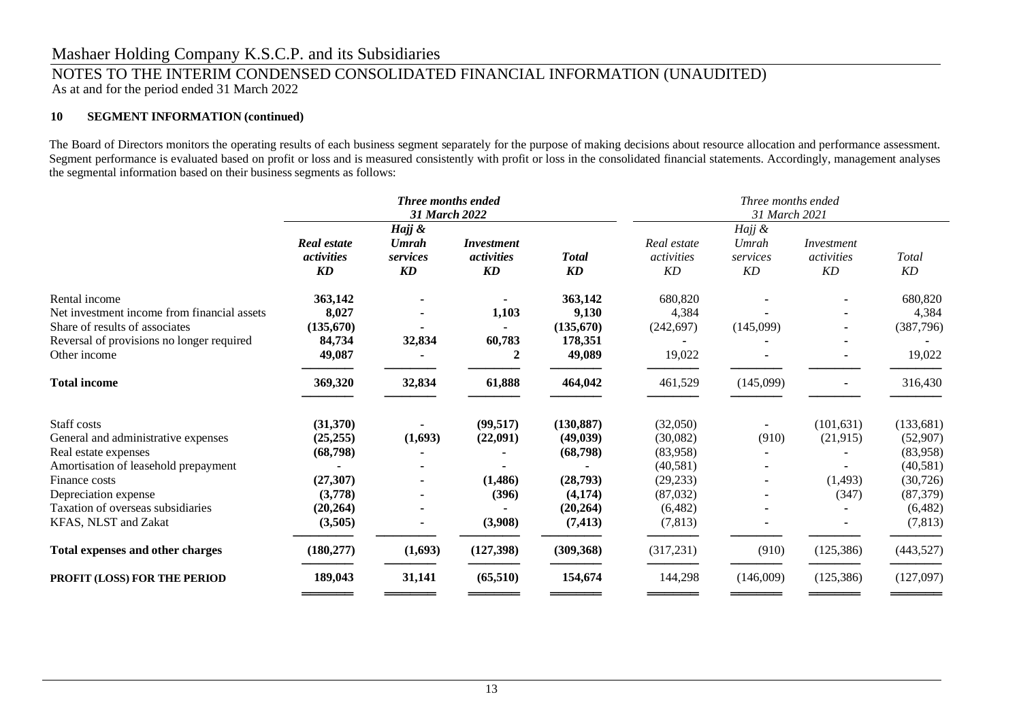### Mashaer Holding Company K.S.C.P. and its Subsidiaries

### NOTES TO THE INTERIM CONDENSED CONSOLIDATED FINANCIAL INFORMATION (UNAUDITED) As at and for the period ended 31 March 2022

### **10 SEGMENT INFORMATION (continued)**

The Board of Directors monitors the operating results of each business segment separately for the purpose of making decisions about resource allocation and performance assessment. Segment performance is evaluated based on profit or loss and is measured consistently with profit or loss in the consolidated financial statements. Accordingly, management analyses the segmental information based on their business segments as follows:

|                                             | Three months ended<br>31 March 2022    |                         |                                       |                           | Three months ended<br>31 March 2021 |                         |                                |             |
|---------------------------------------------|----------------------------------------|-------------------------|---------------------------------------|---------------------------|-------------------------------------|-------------------------|--------------------------------|-------------|
|                                             |                                        | Hajj &                  |                                       |                           |                                     |                         |                                |             |
|                                             | <b>Real estate</b><br>activities<br>KD | Umrah<br>services<br>KD | <i>Investment</i><br>activities<br>KD | <b>Total</b><br><b>KD</b> | Real estate<br>activities<br>KD     | Umrah<br>services<br>KD | Investment<br>activities<br>KD | Total<br>KD |
| Rental income                               | 363,142                                |                         |                                       | 363,142                   | 680,820                             |                         |                                | 680,820     |
| Net investment income from financial assets | 8,027                                  |                         | 1,103                                 | 9,130                     | 4,384                               |                         |                                | 4,384       |
| Share of results of associates              | (135,670)                              |                         |                                       | (135,670)                 | (242, 697)                          | (145,099)               |                                | (387,796)   |
| Reversal of provisions no longer required   | 84,734                                 | 32,834                  | 60,783                                | 178,351                   |                                     |                         |                                |             |
| Other income                                | 49,087                                 |                         | 2                                     | 49,089                    | 19,022                              |                         |                                | 19,022      |
| <b>Total income</b>                         | 369,320                                | 32,834                  | 61,888                                | 464,042                   | 461,529                             | (145,099)               | $\blacksquare$                 | 316,430     |
| Staff costs                                 | (31,370)                               |                         | (99, 517)                             | (130, 887)                | (32,050)                            | $\blacksquare$          | (101, 631)                     | (133,681)   |
| General and administrative expenses         | (25, 255)                              | (1,693)                 | (22,091)                              | (49, 039)                 | (30,082)                            | (910)                   | (21,915)                       | (52,907)    |
| Real estate expenses                        | (68,798)                               |                         |                                       | (68, 798)                 | (83,958)                            |                         |                                | (83,958)    |
| Amortisation of leasehold prepayment        |                                        |                         |                                       |                           | (40,581)                            |                         |                                | (40, 581)   |
| Finance costs                               | (27, 307)                              |                         | (1,486)                               | (28,793)                  | (29, 233)                           |                         | (1,493)                        | (30, 726)   |
| Depreciation expense                        | (3,778)                                |                         | (396)                                 | (4, 174)                  | (87,032)                            |                         | (347)                          | (87, 379)   |
| Taxation of overseas subsidiaries           | (20, 264)                              |                         |                                       | (20, 264)                 | (6,482)                             |                         |                                | (6,482)     |
| KFAS, NLST and Zakat                        | (3,505)                                |                         | (3,908)                               | (7, 413)                  | (7, 813)                            |                         |                                | (7, 813)    |
| Total expenses and other charges            | (180, 277)                             | (1,693)                 | (127,398)                             | (309, 368)                | (317, 231)                          | (910)                   | (125,386)                      | (443,527)   |
| PROFIT (LOSS) FOR THE PERIOD                | 189,043                                | 31,141                  | (65, 510)                             | 154,674                   | 144,298                             | (146,009)               | (125, 386)                     | (127,097)   |
|                                             |                                        |                         |                                       |                           |                                     |                         |                                |             |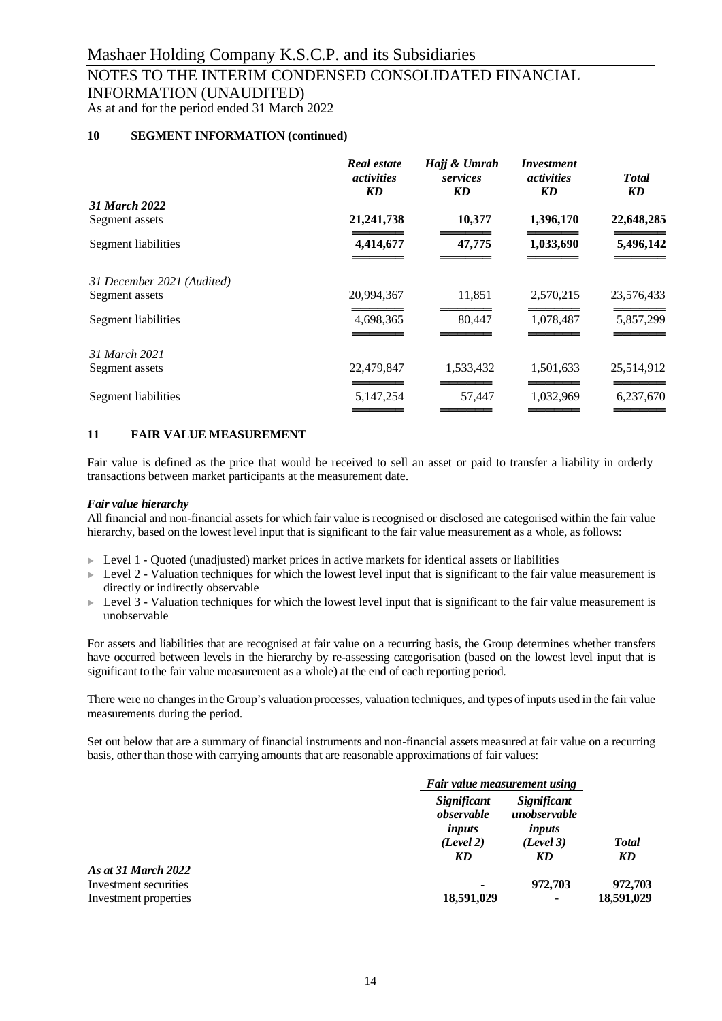## NOTES TO THE INTERIM CONDENSED CONSOLIDATED FINANCIAL INFORMATION (UNAUDITED)

As at and for the period ended 31 March 2022

### **10 SEGMENT INFORMATION (continued)**

| <b>Real estate</b><br><i>activities</i><br>KD | Hajj & Umrah<br>services<br>KD | Investment<br><i>activities</i><br>KD | <b>T</b> otal<br>KD |
|-----------------------------------------------|--------------------------------|---------------------------------------|---------------------|
|                                               |                                |                                       |                     |
| 21, 241, 738                                  | 10,377                         | 1,396,170                             | 22,648,285          |
| 4,414,677                                     | 47,775                         | 1,033,690                             | 5,496,142           |
|                                               |                                |                                       |                     |
| 20,994,367                                    | 11,851                         | 2,570,215                             | 23,576,433          |
| 4,698,365                                     | 80,447                         | 1,078,487                             | 5,857,299           |
|                                               |                                |                                       |                     |
| 22,479,847                                    | 1,533,432                      | 1,501,633                             | 25,514,912          |
| 5,147,254                                     | 57,447                         | 1,032,969                             | 6,237,670           |
|                                               |                                |                                       |                     |

### **11 FAIR VALUE MEASUREMENT**

Fair value is defined as the price that would be received to sell an asset or paid to transfer a liability in orderly transactions between market participants at the measurement date.

### *Fair value hierarchy*

All financial and non-financial assets for which fair value is recognised or disclosed are categorised within the fair value hierarchy, based on the lowest level input that is significant to the fair value measurement as a whole, as follows:

- ► Level 1 Quoted (unadjusted) market prices in active markets for identical assets or liabilities
- $\triangleright$  Level 2 Valuation techniques for which the lowest level input that is significant to the fair value measurement is directly or indirectly observable
- $\triangleright$  Level 3 Valuation techniques for which the lowest level input that is significant to the fair value measurement is unobservable

For assets and liabilities that are recognised at fair value on a recurring basis, the Group determines whether transfers have occurred between levels in the hierarchy by re-assessing categorisation (based on the lowest level input that is significant to the fair value measurement as a whole) at the end of each reporting period.

There were no changes in the Group's valuation processes, valuation techniques, and types of inputs used in the fair value measurements during the period.

Set out below that are a summary of financial instruments and non-financial assets measured at fair value on a recurring basis, other than those with carrying amounts that are reasonable approximations of fair values:

|                                                |                                                        | Fair value measurement using                             |                       |
|------------------------------------------------|--------------------------------------------------------|----------------------------------------------------------|-----------------------|
|                                                | Significant<br>observable<br>inputs<br>(Level 2)<br>KD | Significant<br>unobservable<br>inputs<br>(Level 3)<br>KD | <b>Total</b><br>KD    |
| As at 31 March 2022                            |                                                        |                                                          |                       |
| Investment securities<br>Investment properties | 18,591,029                                             | 972,703<br>$\overline{\phantom{a}}$                      | 972,703<br>18,591,029 |